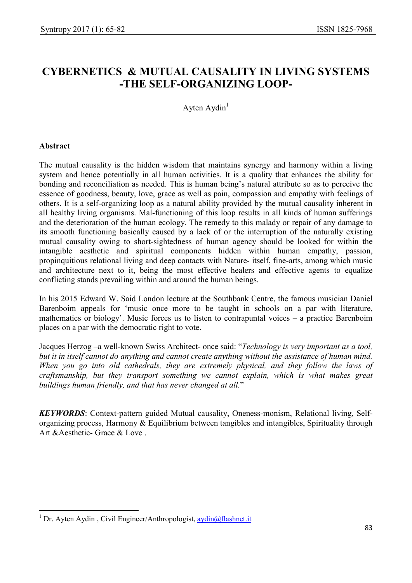# CYBERNETICS & MUTUAL CAUSALITY IN LIVING SYSTEMS -THE SELF-ORGANIZING LOOP-

Ayten  $Aydin^1$ 

## Abstract

The mutual causality is the hidden wisdom that maintains synergy and harmony within a living system and hence potentially in all human activities. It is a quality that enhances the ability for bonding and reconciliation as needed. This is human being's natural attribute so as to perceive the essence of goodness, beauty, love, grace as well as pain, compassion and empathy with feelings of others. It is a self-organizing loop as a natural ability provided by the mutual causality inherent in all healthy living organisms. Mal-functioning of this loop results in all kinds of human sufferings and the deterioration of the human ecology. The remedy to this malady or repair of any damage to its smooth functioning basically caused by a lack of or the interruption of the naturally existing mutual causality owing to short-sightedness of human agency should be looked for within the intangible aesthetic and spiritual components hidden within human empathy, passion, propinquitious relational living and deep contacts with Nature- itself, fine-arts, among which music and architecture next to it, being the most effective healers and effective agents to equalize conflicting stands prevailing within and around the human beings.

In his 2015 Edward W. Said London lecture at the Southbank Centre, the famous musician Daniel Barenboim appeals for 'music once more to be taught in schools on a par with literature, mathematics or biology'. Music forces us to listen to contrapuntal voices – a practice Barenboim places on a par with the democratic right to vote.

Jacques Herzog –a well-known Swiss Architect- once said: "Technology is very important as a tool, but it in itself cannot do anything and cannot create anything without the assistance of human mind. When you go into old cathedrals, they are extremely physical, and they follow the laws of craftsmanship, but they transport something we cannot explain, which is what makes great buildings human friendly, and that has never changed at all."

KEYWORDS: Context-pattern guided Mutual causality, Oneness-monism, Relational living, Selforganizing process, Harmony & Equilibrium between tangibles and intangibles, Spirituality through Art &Aesthetic- Grace & Love .

<sup>1&</sup>lt;br>
<sup>1</sup> Dr. Ayten Aydin , Civil Engineer/Anthropologist, aydin@flashnet.it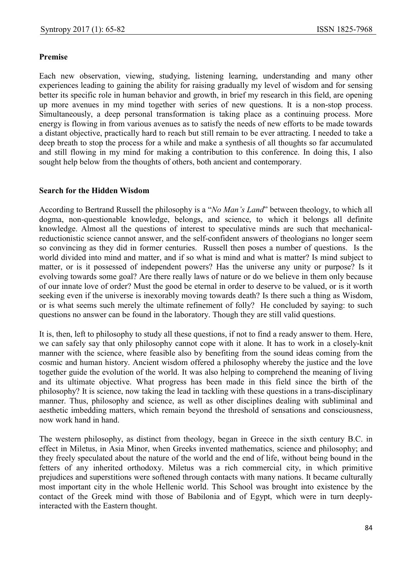### Premise

Each new observation, viewing, studying, listening learning, understanding and many other experiences leading to gaining the ability for raising gradually my level of wisdom and for sensing better its specific role in human behavior and growth, in brief my research in this field, are opening up more avenues in my mind together with series of new questions. It is a non-stop process. Simultaneously, a deep personal transformation is taking place as a continuing process. More energy is flowing in from various avenues as to satisfy the needs of new efforts to be made towards a distant objective, practically hard to reach but still remain to be ever attracting. I needed to take a deep breath to stop the process for a while and make a synthesis of all thoughts so far accumulated and still flowing in my mind for making a contribution to this conference. In doing this, I also sought help below from the thoughts of others, both ancient and contemporary.

#### Search for the Hidden Wisdom

According to Bertrand Russell the philosophy is a "No Man's Land" between theology, to which all dogma, non-questionable knowledge, belongs, and science, to which it belongs all definite knowledge. Almost all the questions of interest to speculative minds are such that mechanicalreductionistic science cannot answer, and the self-confident answers of theologians no longer seem so convincing as they did in former centuries. Russell then poses a number of questions. Is the world divided into mind and matter, and if so what is mind and what is matter? Is mind subject to matter, or is it possessed of independent powers? Has the universe any unity or purpose? Is it evolving towards some goal? Are there really laws of nature or do we believe in them only because of our innate love of order? Must the good be eternal in order to deserve to be valued, or is it worth seeking even if the universe is inexorably moving towards death? Is there such a thing as Wisdom, or is what seems such merely the ultimate refinement of folly? He concluded by saying: to such questions no answer can be found in the laboratory. Though they are still valid questions.

It is, then, left to philosophy to study all these questions, if not to find a ready answer to them. Here, we can safely say that only philosophy cannot cope with it alone. It has to work in a closely-knit manner with the science, where feasible also by benefiting from the sound ideas coming from the cosmic and human history. Ancient wisdom offered a philosophy whereby the justice and the love together guide the evolution of the world. It was also helping to comprehend the meaning of living and its ultimate objective. What progress has been made in this field since the birth of the philosophy? It is science, now taking the lead in tackling with these questions in a trans-disciplinary manner. Thus, philosophy and science, as well as other disciplines dealing with subliminal and aesthetic imbedding matters, which remain beyond the threshold of sensations and consciousness, now work hand in hand.

The western philosophy, as distinct from theology, began in Greece in the sixth century B.C. in effect in Miletus, in Asia Minor, when Greeks invented mathematics, science and philosophy; and they freely speculated about the nature of the world and the end of life, without being bound in the fetters of any inherited orthodoxy. Miletus was a rich commercial city, in which primitive prejudices and superstitions were softened through contacts with many nations. It became culturally most important city in the whole Hellenic world. This School was brought into existence by the contact of the Greek mind with those of Babilonia and of Egypt, which were in turn deeplyinteracted with the Eastern thought.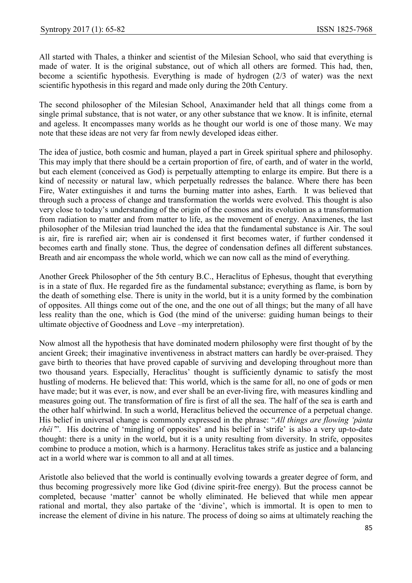All started with Thales, a thinker and scientist of the Milesian School, who said that everything is made of water. It is the original substance, out of which all others are formed. This had, then, become a scientific hypothesis. Everything is made of hydrogen (2/3 of water) was the next scientific hypothesis in this regard and made only during the 20th Century.

The second philosopher of the Milesian School, Anaximander held that all things come from a single primal substance, that is not water, or any other substance that we know. It is infinite, eternal and ageless. It encompasses many worlds as he thought our world is one of those many. We may note that these ideas are not very far from newly developed ideas either.

The idea of justice, both cosmic and human, played a part in Greek spiritual sphere and philosophy. This may imply that there should be a certain proportion of fire, of earth, and of water in the world, but each element (conceived as God) is perpetually attempting to enlarge its empire. But there is a kind of necessity or natural law, which perpetually redresses the balance. Where there has been Fire, Water extinguishes it and turns the burning matter into ashes, Earth. It was believed that through such a process of change and transformation the worlds were evolved. This thought is also very close to today's understanding of the origin of the cosmos and its evolution as a transformation from radiation to matter and from matter to life, as the movement of energy. Anaximenes, the last philosopher of the Milesian triad launched the idea that the fundamental substance is Air. The soul is air, fire is rarefied air; when air is condensed it first becomes water, if further condensed it becomes earth and finally stone. Thus, the degree of condensation defines all different substances. Breath and air encompass the whole world, which we can now call as the mind of everything.

Another Greek Philosopher of the 5th century B.C., Heraclitus of Ephesus, thought that everything is in a state of flux. He regarded fire as the fundamental substance; everything as flame, is born by the death of something else. There is unity in the world, but it is a unity formed by the combination of opposites. All things come out of the one, and the one out of all things; but the many of all have less reality than the one, which is God (the mind of the universe: guiding human beings to their ultimate objective of Goodness and Love –my interpretation).

Now almost all the hypothesis that have dominated modern philosophy were first thought of by the ancient Greek; their imaginative inventiveness in abstract matters can hardly be over-praised. They gave birth to theories that have proved capable of surviving and developing throughout more than two thousand years. Especially, Heraclitus' thought is sufficiently dynamic to satisfy the most hustling of moderns. He believed that: This world, which is the same for all, no one of gods or men have made; but it was ever, is now, and ever shall be an ever-living fire, with measures kindling and measures going out. The transformation of fire is first of all the sea. The half of the sea is earth and the other half whirlwind. In such a world, Heraclitus believed the occurrence of a perpetual change. His belief in universal change is commonly expressed in the phrase: "All things are flowing 'pànta' rhêi'". His doctrine of 'mingling of opposites' and his belief in 'strife' is also a very up-to-date thought: there is a unity in the world, but it is a unity resulting from diversity. In strife, opposites combine to produce a motion, which is a harmony. Heraclitus takes strife as justice and a balancing act in a world where war is common to all and at all times.

Aristotle also believed that the world is continually evolving towards a greater degree of form, and thus becoming progressively more like God (divine spirit-free energy). But the process cannot be completed, because 'matter' cannot be wholly eliminated. He believed that while men appear rational and mortal, they also partake of the 'divine', which is immortal. It is open to men to increase the element of divine in his nature. The process of doing so aims at ultimately reaching the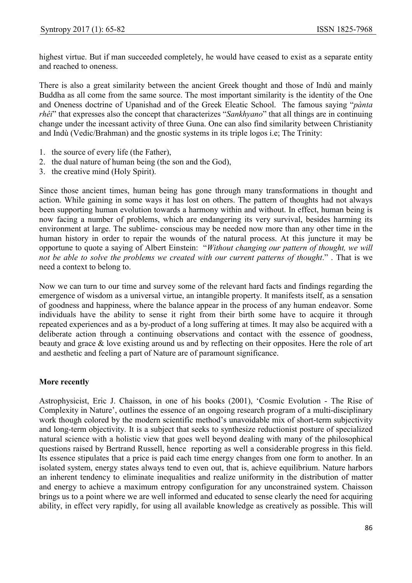highest virtue. But if man succeeded completely, he would have ceased to exist as a separate entity and reached to oneness.

There is also a great similarity between the ancient Greek thought and those of Indù and mainly Buddha as all come from the same source. The most important similarity is the identity of the One and Oneness doctrine of Upanishad and of the Greek Eleatic School. The famous saying "pànta rhêi" that expresses also the concept that characterizes "Sankhyano" that all things are in continuing change under the incessant activity of three Guna. One can also find similarity between Christianity and Indù (Vedic/Brahman) and the gnostic systems in its triple logos i.e; The Trinity:

- 1. the source of every life (the Father),
- 2. the dual nature of human being (the son and the God),
- 3. the creative mind (Holy Spirit).

Since those ancient times, human being has gone through many transformations in thought and action. While gaining in some ways it has lost on others. The pattern of thoughts had not always been supporting human evolution towards a harmony within and without. In effect, human being is now facing a number of problems, which are endangering its very survival, besides harming its environment at large. The sublime- conscious may be needed now more than any other time in the human history in order to repair the wounds of the natural process. At this juncture it may be opportune to quote a saying of Albert Einstein: "Without changing our pattern of thought, we will not be able to solve the problems we created with our current patterns of thought." . That is we need a context to belong to.

Now we can turn to our time and survey some of the relevant hard facts and findings regarding the emergence of wisdom as a universal virtue, an intangible property. It manifests itself, as a sensation of goodness and happiness, where the balance appear in the process of any human endeavor. Some individuals have the ability to sense it right from their birth some have to acquire it through repeated experiences and as a by-product of a long suffering at times. It may also be acquired with a deliberate action through a continuing observations and contact with the essence of goodness, beauty and grace & love existing around us and by reflecting on their opposites. Here the role of art and aesthetic and feeling a part of Nature are of paramount significance.

#### More recently

Astrophysicist, Eric J. Chaisson, in one of his books (2001), 'Cosmic Evolution - The Rise of Complexity in Nature', outlines the essence of an ongoing research program of a multi-disciplinary work though colored by the modern scientific method's unavoidable mix of short-term subjectivity and long-term objectivity. It is a subject that seeks to synthesize reductionist posture of specialized natural science with a holistic view that goes well beyond dealing with many of the philosophical questions raised by Bertrand Russell, hence reporting as well a considerable progress in this field. Its essence stipulates that a price is paid each time energy changes from one form to another. In an isolated system, energy states always tend to even out, that is, achieve equilibrium. Nature harbors an inherent tendency to eliminate inequalities and realize uniformity in the distribution of matter and energy to achieve a maximum entropy configuration for any unconstrained system. Chaisson brings us to a point where we are well informed and educated to sense clearly the need for acquiring ability, in effect very rapidly, for using all available knowledge as creatively as possible. This will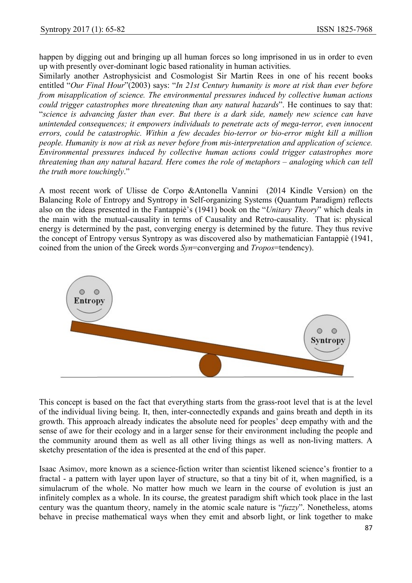happen by digging out and bringing up all human forces so long imprisoned in us in order to even up with presently over-dominant logic based rationality in human activities.

Similarly another Astrophysicist and Cosmologist Sir Martin Rees in one of his recent books entitled "Our Final Hour"(2003) says: "In 21st Century humanity is more at risk than ever before from misapplication of science. The environmental pressures induced by collective human actions could trigger catastrophes more threatening than any natural hazards". He continues to say that: "science is advancing faster than ever. But there is a dark side, namely new science can have unintended consequences; it empowers individuals to penetrate acts of mega-terror, even innocent errors, could be catastrophic. Within a few decades bio-terror or bio-error might kill a million people. Humanity is now at risk as never before from mis-interpretation and application of science. Environmental pressures induced by collective human actions could trigger catastrophes more threatening than any natural hazard. Here comes the role of metaphors – analoging which can tell the truth more touchingly."

A most recent work of Ulisse de Corpo &Antonella Vannini (2014 Kindle Version) on the Balancing Role of Entropy and Syntropy in Self-organizing Systems (Quantum Paradigm) reflects also on the ideas presented in the Fantappiè's (1941) book on the "Unitary Theory" which deals in the main with the mutual-causality in terms of Causality and Retro-causality. That is: physical energy is determined by the past, converging energy is determined by the future. They thus revive the concept of Entropy versus Syntropy as was discovered also by mathematician Fantappiè (1941, coined from the union of the Greek words  $Syn=converging$  and  $Tropos=tendency$ .



This concept is based on the fact that everything starts from the grass-root level that is at the level of the individual living being. It, then, inter-connectedly expands and gains breath and depth in its growth. This approach already indicates the absolute need for peoples' deep empathy with and the sense of awe for their ecology and in a larger sense for their environment including the people and the community around them as well as all other living things as well as non-living matters. A sketchy presentation of the idea is presented at the end of this paper.

Isaac Asimov, more known as a science-fiction writer than scientist likened science's frontier to a fractal - a pattern with layer upon layer of structure, so that a tiny bit of it, when magnified, is a simulacrum of the whole. No matter how much we learn in the course of evolution is just an infinitely complex as a whole. In its course, the greatest paradigm shift which took place in the last century was the quantum theory, namely in the atomic scale nature is "fuzzy". Nonetheless, atoms behave in precise mathematical ways when they emit and absorb light, or link together to make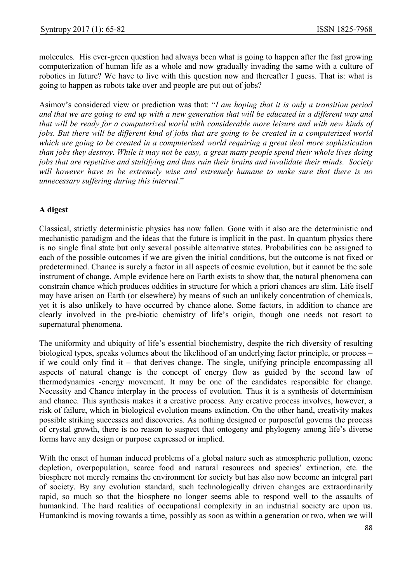molecules. His ever-green question had always been what is going to happen after the fast growing computerization of human life as a whole and now gradually invading the same with a culture of robotics in future? We have to live with this question now and thereafter I guess. That is: what is going to happen as robots take over and people are put out of jobs?

Asimov's considered view or prediction was that: "I am hoping that it is only a transition period and that we are going to end up with a new generation that will be educated in a different way and that will be ready for a computerized world with considerable more leisure and with new kinds of jobs. But there will be different kind of jobs that are going to be created in a computerized world which are going to be created in a computerized world requiring a great deal more sophistication than jobs they destroy. While it may not be easy, a great many people spend their whole lives doing jobs that are repetitive and stultifying and thus ruin their brains and invalidate their minds. Society will however have to be extremely wise and extremely humane to make sure that there is no unnecessary suffering during this interval."

# A digest

Classical, strictly deterministic physics has now fallen. Gone with it also are the deterministic and mechanistic paradigm and the ideas that the future is implicit in the past. In quantum physics there is no single final state but only several possible alternative states. Probabilities can be assigned to each of the possible outcomes if we are given the initial conditions, but the outcome is not fixed or predetermined. Chance is surely a factor in all aspects of cosmic evolution, but it cannot be the sole instrument of change. Ample evidence here on Earth exists to show that, the natural phenomena can constrain chance which produces oddities in structure for which a priori chances are slim. Life itself may have arisen on Earth (or elsewhere) by means of such an unlikely concentration of chemicals, yet it is also unlikely to have occurred by chance alone. Some factors, in addition to chance are clearly involved in the pre-biotic chemistry of life's origin, though one needs not resort to supernatural phenomena.

The uniformity and ubiquity of life's essential biochemistry, despite the rich diversity of resulting biological types, speaks volumes about the likelihood of an underlying factor principle, or process – if we could only find it – that derives change. The single, unifying principle encompassing all aspects of natural change is the concept of energy flow as guided by the second law of thermodynamics -energy movement. It may be one of the candidates responsible for change. Necessity and Chance interplay in the process of evolution. Thus it is a synthesis of determinism and chance. This synthesis makes it a creative process. Any creative process involves, however, a risk of failure, which in biological evolution means extinction. On the other hand, creativity makes possible striking successes and discoveries. As nothing designed or purposeful governs the process of crystal growth, there is no reason to suspect that ontogeny and phylogeny among life's diverse forms have any design or purpose expressed or implied.

With the onset of human induced problems of a global nature such as atmospheric pollution, ozone depletion, overpopulation, scarce food and natural resources and species' extinction, etc. the biosphere not merely remains the environment for society but has also now become an integral part of society. By any evolution standard, such technologically driven changes are extraordinarily rapid, so much so that the biosphere no longer seems able to respond well to the assaults of humankind. The hard realities of occupational complexity in an industrial society are upon us. Humankind is moving towards a time, possibly as soon as within a generation or two, when we will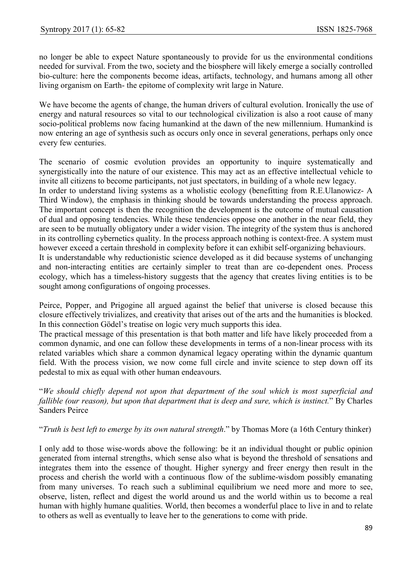no longer be able to expect Nature spontaneously to provide for us the environmental conditions needed for survival. From the two, society and the biosphere will likely emerge a socially controlled bio-culture: here the components become ideas, artifacts, technology, and humans among all other living organism on Earth- the epitome of complexity writ large in Nature.

We have become the agents of change, the human drivers of cultural evolution. Ironically the use of energy and natural resources so vital to our technological civilization is also a root cause of many socio-political problems now facing humankind at the dawn of the new millennium. Humankind is now entering an age of synthesis such as occurs only once in several generations, perhaps only once every few centuries.

The scenario of cosmic evolution provides an opportunity to inquire systematically and synergistically into the nature of our existence. This may act as an effective intellectual vehicle to invite all citizens to become participants, not just spectators, in building of a whole new legacy. In order to understand living systems as a wholistic ecology (benefitting from R.E.Ulanowicz- A Third Window), the emphasis in thinking should be towards understanding the process approach. The important concept is then the recognition the development is the outcome of mutual causation of dual and opposing tendencies. While these tendencies oppose one another in the near field, they are seen to be mutually obligatory under a wider vision. The integrity of the system thus is anchored in its controlling cybernetics quality. In the process approach nothing is context-free. A system must however exceed a certain threshold in complexity before it can exhibit self-organizing behaviours. It is understandable why reductionistic science developed as it did because systems of unchanging and non-interacting entities are certainly simpler to treat than are co-dependent ones. Process ecology, which has a timeless-history suggests that the agency that creates living entities is to be sought among configurations of ongoing processes.

Peirce, Popper, and Prigogine all argued against the belief that universe is closed because this closure effectively trivializes, and creativity that arises out of the arts and the humanities is blocked. In this connection Gödel's treatise on logic very much supports this idea.

The practical message of this presentation is that both matter and life have likely proceeded from a common dynamic, and one can follow these developments in terms of a non-linear process with its related variables which share a common dynamical legacy operating within the dynamic quantum field. With the process vision, we now come full circle and invite science to step down off its pedestal to mix as equal with other human endeavours.

"We should chiefly depend not upon that department of the soul which is most superficial and fallible (our reason), but upon that department that is deep and sure, which is instinct." By Charles Sanders Peirce

"Truth is best left to emerge by its own natural strength." by Thomas More (a 16th Century thinker)

I only add to those wise-words above the following: be it an individual thought or public opinion generated from internal strengths, which sense also what is beyond the threshold of sensations and integrates them into the essence of thought. Higher synergy and freer energy then result in the process and cherish the world with a continuous flow of the sublime-wisdom possibly emanating from many universes. To reach such a subliminal equilibrium we need more and more to see, observe, listen, reflect and digest the world around us and the world within us to become a real human with highly humane qualities. World, then becomes a wonderful place to live in and to relate to others as well as eventually to leave her to the generations to come with pride.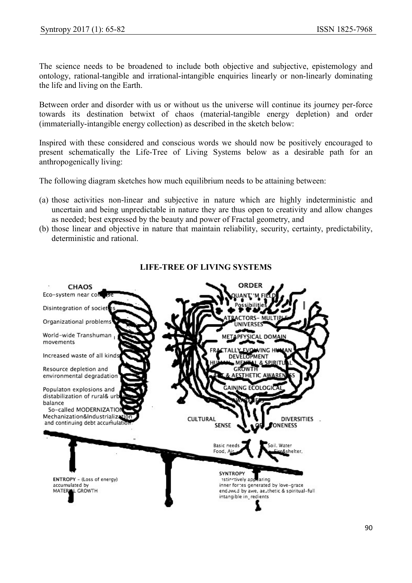The science needs to be broadened to include both objective and subjective, epistemology and ontology, rational-tangible and irrational-intangible enquiries linearly or non-linearly dominating the life and living on the Earth.

Between order and disorder with us or without us the universe will continue its journey per-force towards its destination betwixt of chaos (material-tangible energy depletion) and order (immaterially-intangible energy collection) as described in the sketch below:

Inspired with these considered and conscious words we should now be positively encouraged to present schematically the Life-Tree of Living Systems below as a desirable path for an anthropogenically living:

The following diagram sketches how much equilibrium needs to be attaining between:

- (a) those activities non-linear and subjective in nature which are highly indeterministic and uncertain and being unpredictable in nature they are thus open to creativity and allow changes as needed; best expressed by the beauty and power of Fractal geometry, and
- (b) those linear and objective in nature that maintain reliability, security, certainty, predictability, deterministic and rational.



#### LIFE-TREE OF LIVING SYSTEMS